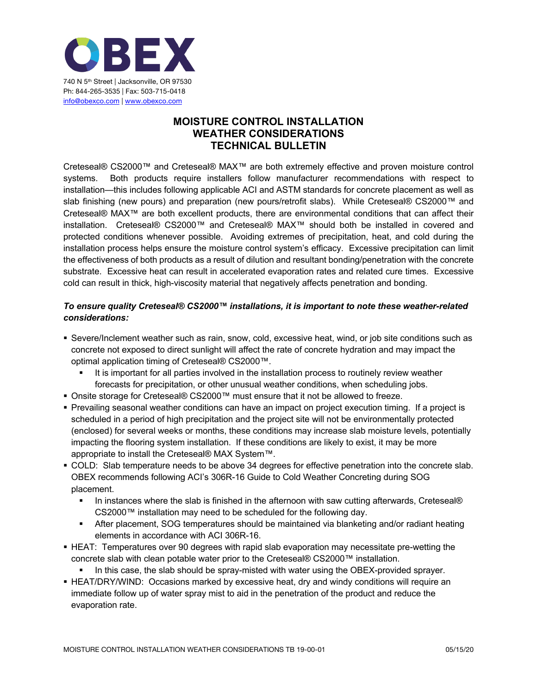

## **MOISTURE CONTROL INSTALLATION WEATHER CONSIDERATIONS TECHNICAL BULLETIN**

Creteseal® CS2000™ and Creteseal® MAX™ are both extremely effective and proven moisture control systems. Both products require installers follow manufacturer recommendations with respect to installation—this includes following applicable ACI and ASTM standards for concrete placement as well as slab finishing (new pours) and preparation (new pours/retrofit slabs). While Creteseal® CS2000™ and Creteseal® MAX™ are both excellent products, there are environmental conditions that can affect their installation. Creteseal® CS2000™ and Creteseal® MAX™ should both be installed in covered and protected conditions whenever possible. Avoiding extremes of precipitation, heat, and cold during the installation process helps ensure the moisture control system's efficacy. Excessive precipitation can limit the effectiveness of both products as a result of dilution and resultant bonding/penetration with the concrete substrate. Excessive heat can result in accelerated evaporation rates and related cure times. Excessive cold can result in thick, high-viscosity material that negatively affects penetration and bonding.

## *To ensure quality Creteseal® CS2000™ installations, it is important to note these weather-related considerations:*

- § Severe/Inclement weather such as rain, snow, cold, excessive heat, wind, or job site conditions such as concrete not exposed to direct sunlight will affect the rate of concrete hydration and may impact the optimal application timing of Creteseal® CS2000™.
	- It is important for all parties involved in the installation process to routinely review weather forecasts for precipitation, or other unusual weather conditions, when scheduling jobs.
- Onsite storage for Creteseal® CS2000™ must ensure that it not be allowed to freeze.
- § Prevailing seasonal weather conditions can have an impact on project execution timing. If a project is scheduled in a period of high precipitation and the project site will not be environmentally protected (enclosed) for several weeks or months, these conditions may increase slab moisture levels, potentially impacting the flooring system installation. If these conditions are likely to exist, it may be more appropriate to install the Creteseal® MAX System™.
- § COLD: Slab temperature needs to be above 34 degrees for effective penetration into the concrete slab. OBEX recommends following ACI's 306R-16 Guide to Cold Weather Concreting during SOG placement.
	- In instances where the slab is finished in the afternoon with saw cutting afterwards, Creteseal® CS2000™ installation may need to be scheduled for the following day.
	- **After placement, SOG temperatures should be maintained via blanketing and/or radiant heating** elements in accordance with ACI 306R-16.
- **EXTERM**: Temperatures over 90 degrees with rapid slab evaporation may necessitate pre-wetting the concrete slab with clean potable water prior to the Creteseal® CS2000™ installation.
	- In this case, the slab should be spray-misted with water using the OBEX-provided sprayer.
- **EXTAGHT INCO FIGAT/ORY/WIND:** Occasions marked by excessive heat, dry and windy conditions will require an immediate follow up of water spray mist to aid in the penetration of the product and reduce the evaporation rate.